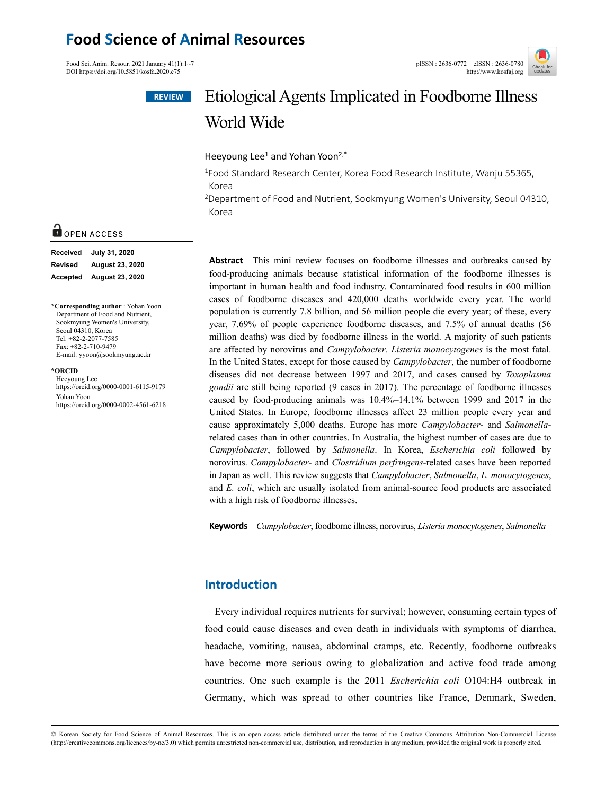# **Food Science of Animal Resources**

Food Sci. Anim. Resour. 2021 January 41(1):1~7 pISSN : 2636-0772 eISSN : 2636-0780<br>DOI https://doi.org/10.5851/kosfa.2020.e75 http://www.kosfai.org/ DOI https://doi.org/10.5851/kosfa.2020.e75



# Etiological Agents Implicated in Foodborne Illness World Wide

Heeyoung Lee<sup>1</sup> and Yohan Yoon<sup>2,\*</sup>

<sup>1</sup>Food Standard Research Center, Korea Food Research Institute, Wanju 55365, Korea

2Department of Food and Nutrient, Sookmyung Women's University, Seoul 04310, Korea

**Abstract** This mini review focuses on foodborne illnesses and outbreaks caused by food-producing animals because statistical information of the foodborne illnesses is important in human health and food industry. Contaminated food results in 600 million cases of foodborne diseases and 420,000 deaths worldwide every year. The world population is currently 7.8 billion, and 56 million people die every year; of these, every year, 7.69% of people experience foodborne diseases, and 7.5% of annual deaths (56 million deaths) was died by foodborne illness in the world. A majority of such patients are affected by norovirus and *Campylobacter*. *Listeria monocytogenes* is the most fatal. In the United States, except for those caused by *Campylobacter*, the number of foodborne diseases did not decrease between 1997 and 2017, and cases caused by *Toxoplasma gondii* are still being reported (9 cases in 2017)*.* The percentage of foodborne illnesses caused by food-producing animals was 10.4%–14.1% between 1999 and 2017 in the United States. In Europe, foodborne illnesses affect 23 million people every year and cause approximately 5,000 deaths. Europe has more *Campylobacter*- and *Salmonella*related cases than in other countries. In Australia, the highest number of cases are due to *Campylobacter*, followed by *Salmonella*. In Korea, *Escherichia coli* followed by norovirus. *Campylobacter*- and *Clostridium perfringens*-related cases have been reported in Japan as well. This review suggests that *Campylobacter*, *Salmonella*, *L. monocytogenes*, and *E. coli*, which are usually isolated from animal-source food products are associated with a high risk of foodborne illnesses.

**Keywords** *Campylobacter*, foodborne illness, norovirus, *Listeria monocytogenes*, *Salmonella*

# **Introduction**

Every individual requires nutrients for survival; however, consuming certain types of food could cause diseases and even death in individuals with symptoms of diarrhea, headache, vomiting, nausea, abdominal cramps, etc. Recently, foodborne outbreaks have become more serious owing to globalization and active food trade among countries. One such example is the 2011 *Escherichia coli* O104:H4 outbreak in Germany, which was spread to other countries like France, Denmark, Sweden,

# O OPEN ACCESS

| <b>Received</b> | July 31, 2020          |  |  |  |  |
|-----------------|------------------------|--|--|--|--|
| <b>Revised</b>  | <b>August 23, 2020</b> |  |  |  |  |
| Accepted        | August 23, 2020        |  |  |  |  |

**\*Corresponding author** : Yohan Yoon Department of Food and Nutrient, Sookmyung Women's University, Seoul 04310, Korea Tel: +82-2-2077-7585 Fax: +82-2-710-9479 E-mail: yyoon@sookmyung.ac.kr

**\*ORCID** 

Heeyoung Lee https://orcid.org/0000-0001-6115-9179 Yohan Yoon https://orcid.org/0000-0002-4561-6218

© Korean Society for Food Science of Animal Resources. This is an open access article distributed under the terms of the Creative Commons Attribution Non-Commercial License (http://creativecommons.org/licences/by-nc/3.0) which permits unrestricted non-commercial use, distribution, and reproduction in any medium, provided the original work is properly cited.

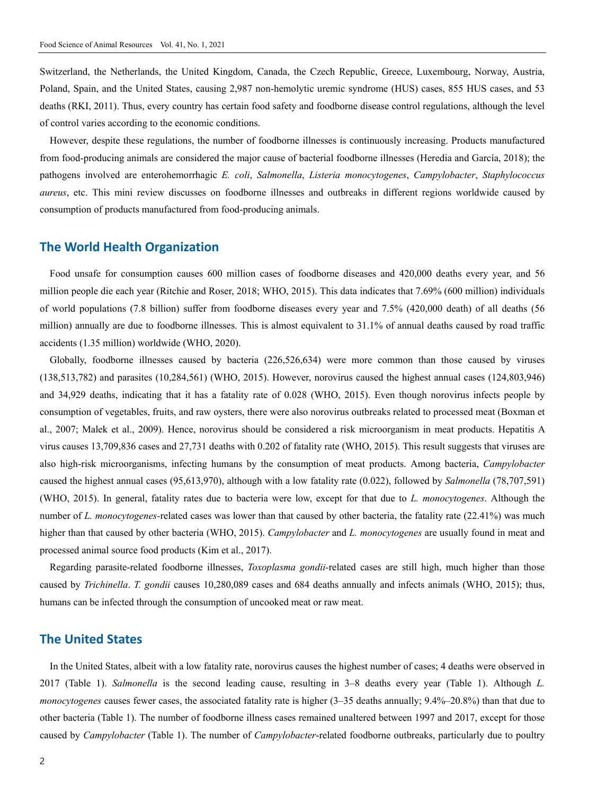Switzerland, the Netherlands, the United Kingdom, Canada, the Czech Republic, Greece, Luxembourg, Norway, Austria, Poland, Spain, and the United States, causing 2,987 non-hemolytic uremic syndrome (HUS) cases, 855 HUS cases, and 53 deaths (RKI, 2011). Thus, every country has certain food safety and foodborne disease control regulations, although the level of control varies according to the economic conditions.

However, despite these regulations, the number of foodborne illnesses is continuously increasing. Products manufactured from food-producing animals are considered the major cause of bacterial foodborne illnesses (Heredia and García, 2018); the pathogens involved are enterohemorrhagic *E. coli*, *Salmonella*, *Listeria monocytogenes*, *Campylobacter*, *Staphylococcus aureus*, etc. This mini review discusses on foodborne illnesses and outbreaks in different regions worldwide caused by consumption of products manufactured from food-producing animals.

# **The World Health Organization**

Food unsafe for consumption causes 600 million cases of foodborne diseases and 420,000 deaths every year, and 56 million people die each year (Ritchie and Roser, 2018; WHO, 2015). This data indicates that 7.69% (600 million) individuals of world populations (7.8 billion) suffer from foodborne diseases every year and 7.5% (420,000 death) of all deaths (56 million) annually are due to foodborne illnesses. This is almost equivalent to 31.1% of annual deaths caused by road traffic accidents (1.35 million) worldwide (WHO, 2020).

Globally, foodborne illnesses caused by bacteria (226,526,634) were more common than those caused by viruses (138,513,782) and parasites (10,284,561) (WHO, 2015). However, norovirus caused the highest annual cases (124,803,946) and 34,929 deaths, indicating that it has a fatality rate of 0.028 (WHO, 2015). Even though norovirus infects people by consumption of vegetables, fruits, and raw oysters, there were also norovirus outbreaks related to processed meat (Boxman et al., 2007; Malek et al., 2009). Hence, norovirus should be considered a risk microorganism in meat products. Hepatitis A virus causes 13,709,836 cases and 27,731 deaths with 0.202 of fatality rate (WHO, 2015). This result suggests that viruses are also high-risk microorganisms, infecting humans by the consumption of meat products. Among bacteria, *Campylobacter* caused the highest annual cases (95,613,970), although with a low fatality rate (0.022), followed by *Salmonella* (78,707,591) (WHO, 2015). In general, fatality rates due to bacteria were low, except for that due to *L. monocytogenes*. Although the number of *L. monocytogenes-*related cases was lower than that caused by other bacteria, the fatality rate (22.41%) was much higher than that caused by other bacteria (WHO, 2015). *Campylobacter* and *L. monocytogenes* are usually found in meat and processed animal source food products (Kim et al., 2017).

Regarding parasite-related foodborne illnesses, *Toxoplasma gondii-*related cases are still high, much higher than those caused by *Trichinella*. *T. gondii* causes 10,280,089 cases and 684 deaths annually and infects animals (WHO, 2015); thus, humans can be infected through the consumption of uncooked meat or raw meat.

## **The United States**

In the United States, albeit with a low fatality rate, norovirus causes the highest number of cases; 4 deaths were observed in 2017 (Table 1). *Salmonella* is the second leading cause, resulting in 3–8 deaths every year (Table 1). Although *L. monocytogenes* causes fewer cases, the associated fatality rate is higher (3–35 deaths annually; 9.4%–20.8%) than that due to other bacteria (Table 1). The number of foodborne illness cases remained unaltered between 1997 and 2017, except for those caused by *Campylobacter* (Table 1). The number of *Campylobacter*-related foodborne outbreaks, particularly due to poultry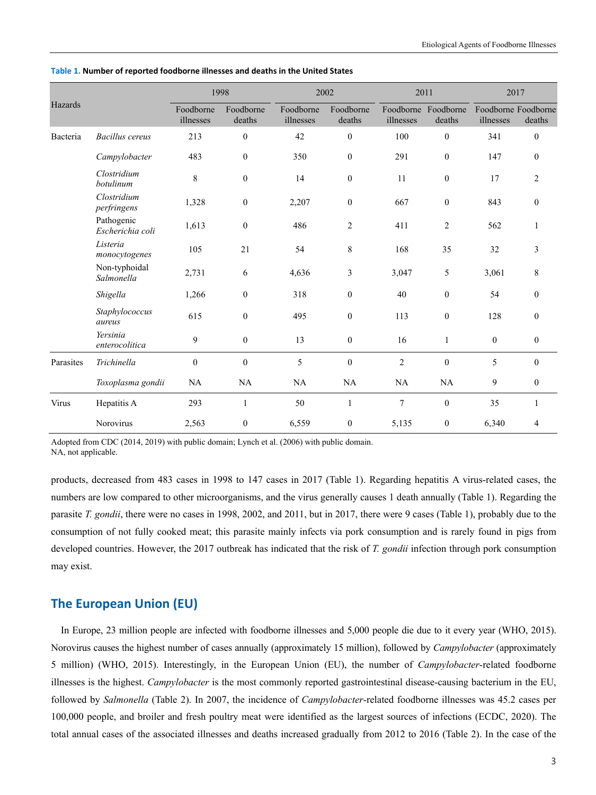|           |                                | 1998                   |                     | 2002                   |                     | 2011             |                               | 2017                             |                  |
|-----------|--------------------------------|------------------------|---------------------|------------------------|---------------------|------------------|-------------------------------|----------------------------------|------------------|
| Hazards   |                                | Foodborne<br>illnesses | Foodborne<br>deaths | Foodborne<br>illnesses | Foodborne<br>deaths | illnesses        | Foodborne Foodborne<br>deaths | Foodborne Foodborne<br>illnesses | deaths           |
| Bacteria  | <b>Bacillus</b> cereus         | 213                    | $\overline{0}$      | 42                     | $\boldsymbol{0}$    | 100              | $\boldsymbol{0}$              | 341                              | $\theta$         |
|           | Campylobacter                  | 483                    | $\boldsymbol{0}$    | 350                    | $\boldsymbol{0}$    | 291              | $\boldsymbol{0}$              | 147                              | $\boldsymbol{0}$ |
|           | Clostridium<br>botulinum       | 8                      | $\boldsymbol{0}$    | 14                     | $\boldsymbol{0}$    | 11               | $\boldsymbol{0}$              | 17                               | $\overline{2}$   |
|           | Clostridium<br>perfringens     | 1,328                  | $\boldsymbol{0}$    | 2,207                  | $\boldsymbol{0}$    | 667              | $\boldsymbol{0}$              | 843                              | $\boldsymbol{0}$ |
|           | Pathogenic<br>Escherichia coli | 1,613                  | $\mathbf{0}$        | 486                    | $\overline{c}$      | 411              | $\overline{c}$                | 562                              | 1                |
|           | Listeria<br>monocytogenes      | 105                    | 21                  | 54                     | $\,$ 8 $\,$         | 168              | 35                            | 32                               | 3                |
|           | Non-typhoidal<br>Salmonella    | 2,731                  | 6                   | 4,636                  | $\mathfrak{Z}$      | 3,047            | 5                             | 3,061                            | 8                |
|           | Shigella                       | 1,266                  | $\mathbf{0}$        | 318                    | $\mathbf{0}$        | 40               | $\mathbf{0}$                  | 54                               | $\theta$         |
|           | Staphylococcus<br>aureus       | 615                    | $\mathbf{0}$        | 495                    | $\boldsymbol{0}$    | 113              | $\boldsymbol{0}$              | 128                              | $\theta$         |
|           | Yersinia<br>enterocolitica     | 9                      | $\mathbf{0}$        | 13                     | $\boldsymbol{0}$    | 16               | $\mathbf{1}$                  | $\mathbf{0}$                     | $\boldsymbol{0}$ |
| Parasites | Trichinella                    | $\mathbf{0}$           | $\boldsymbol{0}$    | 5                      | $\boldsymbol{0}$    | $\boldsymbol{2}$ | $\mathbf{0}$                  | 5                                | $\theta$         |
|           | Toxoplasma gondii              | <b>NA</b>              | NA                  | NA                     | NA                  | NA               | NA                            | 9                                | $\boldsymbol{0}$ |
| Virus     | Hepatitis A                    | 293                    | $\mathbf{1}$        | 50                     | $\mathbf{1}$        | $\overline{7}$   | $\boldsymbol{0}$              | 35                               | 1                |
|           | Norovirus                      | 2,563                  | $\overline{0}$      | 6,559                  | $\boldsymbol{0}$    | 5,135            | $\boldsymbol{0}$              | 6,340                            | $\overline{4}$   |

**Table 1. Number of reported foodborne illnesses and deaths in the United States** 

Adopted from CDC (2014, 2019) with public domain; Lynch et al. (2006) with public domain.

NA, not applicable.

products, decreased from 483 cases in 1998 to 147 cases in 2017 (Table 1). Regarding hepatitis A virus-related cases, the numbers are low compared to other microorganisms, and the virus generally causes 1 death annually (Table 1). Regarding the parasite *T. gondii*, there were no cases in 1998, 2002, and 2011, but in 2017, there were 9 cases (Table 1), probably due to the consumption of not fully cooked meat; this parasite mainly infects via pork consumption and is rarely found in pigs from developed countries. However, the 2017 outbreak has indicated that the risk of *T. gondii* infection through pork consumption may exist.

# **The European Union (EU)**

In Europe, 23 million people are infected with foodborne illnesses and 5,000 people die due to it every year (WHO, 2015). Norovirus causes the highest number of cases annually (approximately 15 million), followed by *Campylobacter* (approximately 5 million) (WHO, 2015). Interestingly, in the European Union (EU), the number of *Campylobacter*-related foodborne illnesses is the highest. *Campylobacter* is the most commonly reported gastrointestinal disease-causing bacterium in the EU, followed by *Salmonella* (Table 2). In 2007, the incidence of *Campylobacter*-related foodborne illnesses was 45.2 cases per 100,000 people, and broiler and fresh poultry meat were identified as the largest sources of infections (ECDC, 2020). The total annual cases of the associated illnesses and deaths increased gradually from 2012 to 2016 (Table 2). In the case of the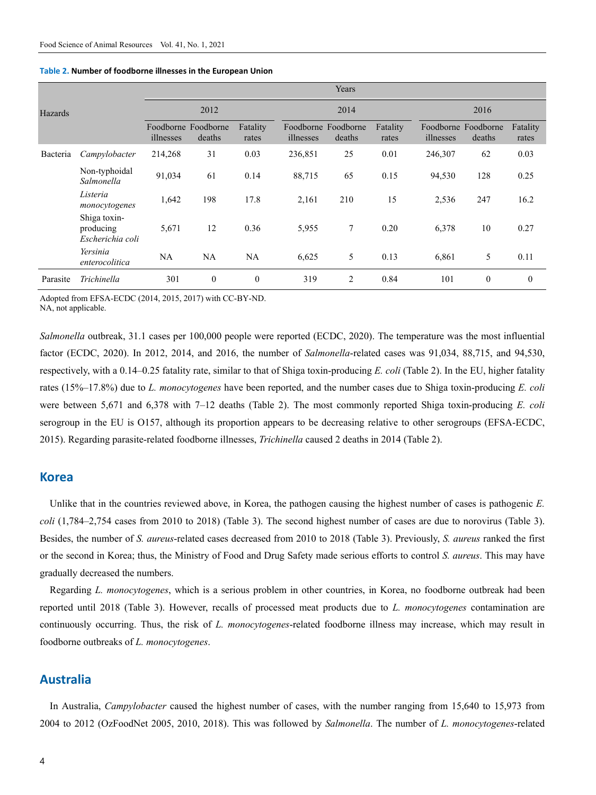|          |                                               | Years     |                               |                   |           |                               |                   |           |                               |                   |  |
|----------|-----------------------------------------------|-----------|-------------------------------|-------------------|-----------|-------------------------------|-------------------|-----------|-------------------------------|-------------------|--|
| Hazards  |                                               | 2012      |                               |                   | 2014      |                               |                   | 2016      |                               |                   |  |
|          |                                               | illnesses | Foodborne Foodborne<br>deaths | Fatality<br>rates | illnesses | Foodborne Foodborne<br>deaths | Fatality<br>rates | illnesses | Foodborne Foodborne<br>deaths | Fatality<br>rates |  |
| Bacteria | Campylobacter                                 | 214,268   | 31                            | 0.03              | 236,851   | 25                            | 0.01              | 246,307   | 62                            | 0.03              |  |
|          | Non-typhoidal<br>Salmonella                   | 91,034    | 61                            | 0.14              | 88,715    | 65                            | 0.15              | 94,530    | 128                           | 0.25              |  |
|          | Listeria<br>monocytogenes                     | 1,642     | 198                           | 17.8              | 2,161     | 210                           | 15                | 2,536     | 247                           | 16.2              |  |
|          | Shiga toxin-<br>producing<br>Escherichia coli | 5,671     | 12                            | 0.36              | 5,955     | $\tau$                        | 0.20              | 6,378     | 10                            | 0.27              |  |
|          | Yersinia<br>enterocolitica                    | NA        | <b>NA</b>                     | <b>NA</b>         | 6,625     | 5                             | 0.13              | 6,861     | 5                             | 0.11              |  |
| Parasite | Trichinella                                   | 301       | $\theta$                      | $\mathbf{0}$      | 319       | $\overline{c}$                | 0.84              | 101       | $\mathbf{0}$                  | $\theta$          |  |

#### **Table 2. Number of foodborne illnesses in the European Union**

Adopted from EFSA-ECDC (2014, 2015, 2017) with CC-BY-ND. NA, not applicable.

*Salmonella* outbreak, 31.1 cases per 100,000 people were reported (ECDC, 2020). The temperature was the most influential factor (ECDC, 2020). In 2012, 2014, and 2016, the number of *Salmonella*-related cases was 91,034, 88,715, and 94,530, respectively, with a 0.14–0.25 fatality rate, similar to that of Shiga toxin-producing *E. coli* (Table 2). In the EU, higher fatality rates (15%–17.8%) due to *L. monocytogenes* have been reported, and the number cases due to Shiga toxin-producing *E. coli* were between 5,671 and 6,378 with 7–12 deaths (Table 2). The most commonly reported Shiga toxin-producing *E. coli* serogroup in the EU is O157, although its proportion appears to be decreasing relative to other serogroups (EFSA-ECDC, 2015). Regarding parasite-related foodborne illnesses, *Trichinella* caused 2 deaths in 2014 (Table 2).

#### **Korea**

Unlike that in the countries reviewed above, in Korea, the pathogen causing the highest number of cases is pathogenic *E*. *coli* (1,784–2,754 cases from 2010 to 2018) (Table 3). The second highest number of cases are due to norovirus (Table 3). Besides, the number of *S. aureus*-related cases decreased from 2010 to 2018 (Table 3). Previously, *S. aureus* ranked the first or the second in Korea; thus, the Ministry of Food and Drug Safety made serious efforts to control *S. aureus*. This may have gradually decreased the numbers.

Regarding *L. monocytogenes*, which is a serious problem in other countries, in Korea, no foodborne outbreak had been reported until 2018 (Table 3). However, recalls of processed meat products due to *L. monocytogenes* contamination are continuously occurring. Thus, the risk of *L. monocytogenes*-related foodborne illness may increase, which may result in foodborne outbreaks of *L. monocytogenes*.

### **Australia**

In Australia, *Campylobacter* caused the highest number of cases, with the number ranging from 15,640 to 15,973 from 2004 to 2012 (OzFoodNet 2005, 2010, 2018). This was followed by *Salmonella*. The number of *L. monocytogenes*-related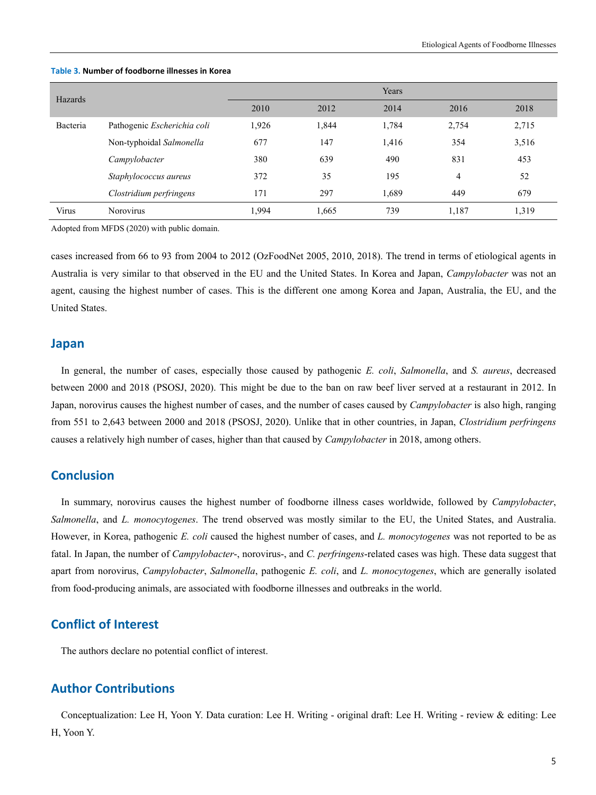| Hazards  |                             | Years |       |       |       |       |  |  |
|----------|-----------------------------|-------|-------|-------|-------|-------|--|--|
|          |                             | 2010  | 2012  | 2014  | 2016  | 2018  |  |  |
| Bacteria | Pathogenic Escherichia coli | 1,926 | 1,844 | 1,784 | 2,754 | 2,715 |  |  |
|          | Non-typhoidal Salmonella    | 677   | 147   | 1,416 | 354   | 3,516 |  |  |
|          | Campylobacter               | 380   | 639   | 490   | 831   | 453   |  |  |
|          | Staphylococcus aureus       | 372   | 35    | 195   | 4     | 52    |  |  |
|          | Clostridium perfringens     | 171   | 297   | 1,689 | 449   | 679   |  |  |
| Virus    | <b>Norovirus</b>            | 1.994 | 1,665 | 739   | 1,187 | 1,319 |  |  |

#### **Table 3. Number of foodborne illnesses in Korea**

Adopted from MFDS (2020) with public domain.

cases increased from 66 to 93 from 2004 to 2012 (OzFoodNet 2005, 2010, 2018). The trend in terms of etiological agents in Australia is very similar to that observed in the EU and the United States. In Korea and Japan, *Campylobacter* was not an agent, causing the highest number of cases. This is the different one among Korea and Japan, Australia, the EU, and the United States.

## **Japan**

In general, the number of cases, especially those caused by pathogenic *E. coli*, *Salmonella*, and *S. aureus*, decreased between 2000 and 2018 (PSOSJ, 2020). This might be due to the ban on raw beef liver served at a restaurant in 2012. In Japan, norovirus causes the highest number of cases, and the number of cases caused by *Campylobacter* is also high, ranging from 551 to 2,643 between 2000 and 2018 (PSOSJ, 2020). Unlike that in other countries, in Japan, *Clostridium perfringens*  causes a relatively high number of cases, higher than that caused by *Campylobacter* in 2018, among others.

# **Conclusion**

In summary, norovirus causes the highest number of foodborne illness cases worldwide, followed by *Campylobacter*, *Salmonella*, and *L. monocytogenes*. The trend observed was mostly similar to the EU, the United States, and Australia. However, in Korea, pathogenic *E. coli* caused the highest number of cases, and *L. monocytogenes* was not reported to be as fatal. In Japan, the number of *Campylobacter*-, norovirus-, and *C. perfringens*-related cases was high. These data suggest that apart from norovirus, *Campylobacter*, *Salmonella*, pathogenic *E. coli*, and *L. monocytogenes*, which are generally isolated from food-producing animals, are associated with foodborne illnesses and outbreaks in the world.

# **Conflict of Interest**

The authors declare no potential conflict of interest.

# **Author Contributions**

Conceptualization: Lee H, Yoon Y. Data curation: Lee H. Writing - original draft: Lee H. Writing - review & editing: Lee H, Yoon Y.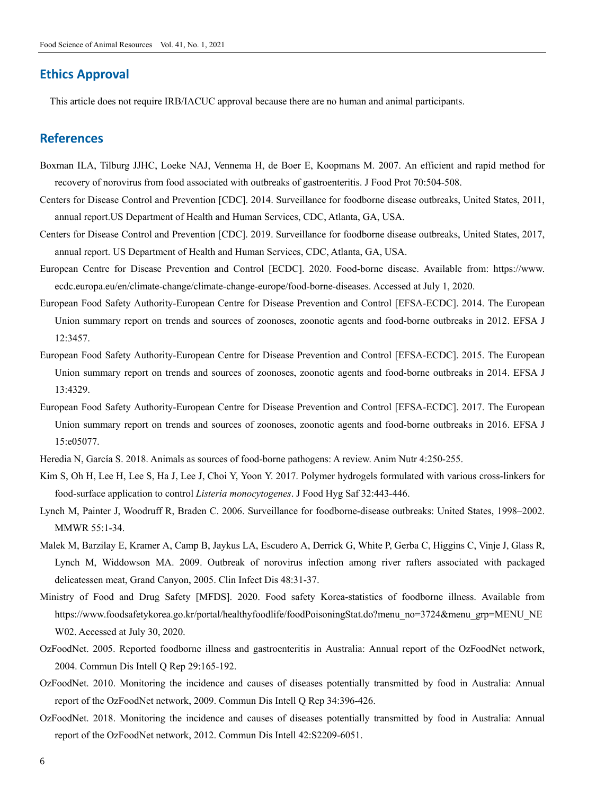# **Ethics Approval**

This article does not require IRB/IACUC approval because there are no human and animal participants.

# **References**

- Boxman ILA, Tilburg JJHC, Loeke NAJ, Vennema H, de Boer E, Koopmans M. 2007. An efficient and rapid method for recovery of norovirus from food associated with outbreaks of gastroenteritis. J Food Prot 70:504-508.
- Centers for Disease Control and Prevention [CDC]. 2014. Surveillance for foodborne disease outbreaks, United States, 2011, annual report.US Department of Health and Human Services, CDC, Atlanta, GA, USA.
- Centers for Disease Control and Prevention [CDC]. 2019. Surveillance for foodborne disease outbreaks, United States, 2017, annual report. US Department of Health and Human Services, CDC, Atlanta, GA, USA.
- European Centre for Disease Prevention and Control [ECDC]. 2020. Food-borne disease. Available from: https://www. ecdc.europa.eu/en/climate-change/climate-change-europe/food-borne-diseases. Accessed at July 1, 2020.
- European Food Safety Authority-European Centre for Disease Prevention and Control [EFSA-ECDC]. 2014. The European Union summary report on trends and sources of zoonoses, zoonotic agents and food-borne outbreaks in 2012. EFSA J 12:3457.
- European Food Safety Authority-European Centre for Disease Prevention and Control [EFSA-ECDC]. 2015. The European Union summary report on trends and sources of zoonoses, zoonotic agents and food-borne outbreaks in 2014. EFSA J 13:4329.
- European Food Safety Authority-European Centre for Disease Prevention and Control [EFSA-ECDC]. 2017. The European Union summary report on trends and sources of zoonoses, zoonotic agents and food-borne outbreaks in 2016. EFSA J 15:e05077.
- Heredia N, García S. 2018. Animals as sources of food-borne pathogens: A review. Anim Nutr 4:250-255.
- Kim S, Oh H, Lee H, Lee S, Ha J, Lee J, Choi Y, Yoon Y. 2017. Polymer hydrogels formulated with various cross-linkers for food-surface application to control *Listeria monocytogenes*. J Food Hyg Saf 32:443-446.
- Lynch M, Painter J, Woodruff R, Braden C. 2006. Surveillance for foodborne-disease outbreaks: United States, 1998–2002. MMWR 55:1-34.
- Malek M, Barzilay E, Kramer A, Camp B, Jaykus LA, Escudero A, Derrick G, White P, Gerba C, Higgins C, Vinje J, Glass R, Lynch M, Widdowson MA. 2009. Outbreak of norovirus infection among river rafters associated with packaged delicatessen meat, Grand Canyon, 2005. Clin Infect Dis 48:31-37.
- Ministry of Food and Drug Safety [MFDS]. 2020. Food safety Korea-statistics of foodborne illness. Available from https://www.foodsafetykorea.go.kr/portal/healthyfoodlife/foodPoisoningStat.do?menu\_no=3724&menu\_grp=MENU\_NE W02. Accessed at July 30, 2020.
- OzFoodNet. 2005. Reported foodborne illness and gastroenteritis in Australia: Annual report of the OzFoodNet network, 2004. Commun Dis Intell Q Rep 29:165-192.
- OzFoodNet. 2010. Monitoring the incidence and causes of diseases potentially transmitted by food in Australia: Annual report of the OzFoodNet network, 2009. Commun Dis Intell Q Rep 34:396-426.
- OzFoodNet. 2018. Monitoring the incidence and causes of diseases potentially transmitted by food in Australia: Annual report of the OzFoodNet network, 2012. Commun Dis Intell 42:S2209-6051.